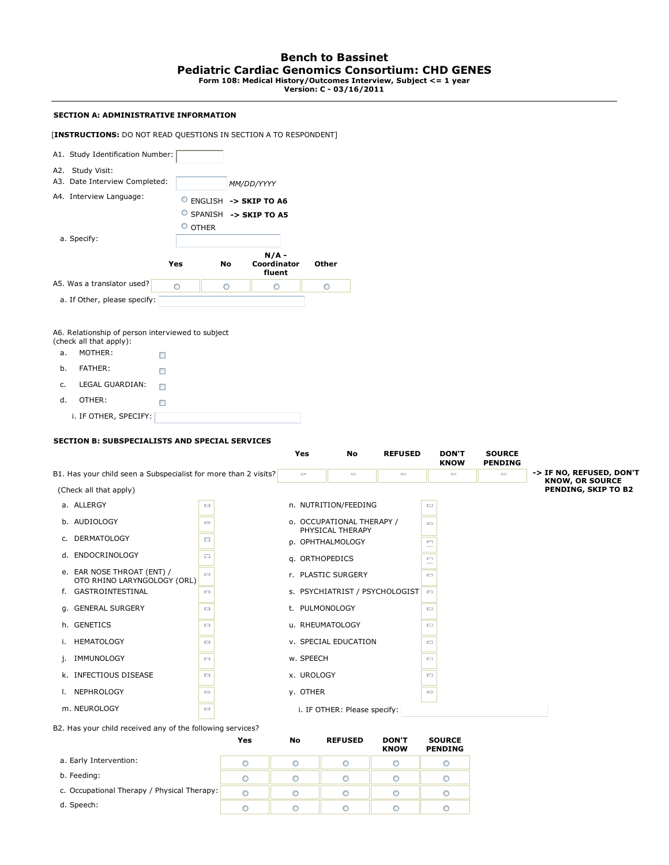## **SECTION A: ADMINISTRATIVE INFORMATION**

[**INSTRUCTIONS:** DO NOT READ QUESTIONS IN SECTION A TO RESPONDENT]

|             | <b>INSTRUCTIONS.</b> DO NOT KEAD QUESTIONS IN SECTION A TO KESPONDENT]                       |                       |                         |                                  |                                |                |                             |                                 |                                               |
|-------------|----------------------------------------------------------------------------------------------|-----------------------|-------------------------|----------------------------------|--------------------------------|----------------|-----------------------------|---------------------------------|-----------------------------------------------|
|             | A1. Study Identification Number:                                                             |                       |                         |                                  |                                |                |                             |                                 |                                               |
|             | A2. Study Visit:                                                                             |                       |                         |                                  |                                |                |                             |                                 |                                               |
|             | A3. Date Interview Completed:                                                                | MM/DD/YYYY            |                         |                                  |                                |                |                             |                                 |                                               |
|             | A4. Interview Language:                                                                      | ENGLISH -> SKIP TO A6 |                         |                                  |                                |                |                             |                                 |                                               |
|             |                                                                                              |                       | O SPANISH -> SKIP TO A5 |                                  |                                |                |                             |                                 |                                               |
|             |                                                                                              | $^{\circ}$ OTHER      |                         |                                  |                                |                |                             |                                 |                                               |
| a. Specify: |                                                                                              |                       |                         |                                  |                                |                |                             |                                 |                                               |
|             | Yes                                                                                          |                       | No                      | $N/A -$<br>Coordinator<br>fluent | Other                          |                |                             |                                 |                                               |
|             | A5. Was a translator used?<br>O                                                              |                       | O                       | O                                | O                              |                |                             |                                 |                                               |
|             | a. If Other, please specify:                                                                 |                       |                         |                                  |                                |                |                             |                                 |                                               |
|             |                                                                                              |                       |                         |                                  |                                |                |                             |                                 |                                               |
| a.          | A6. Relationship of person interviewed to subject<br>(check all that apply):<br>MOTHER:<br>П |                       |                         |                                  |                                |                |                             |                                 |                                               |
| b.          | FATHER:<br>□                                                                                 |                       |                         |                                  |                                |                |                             |                                 |                                               |
| c.          | LEGAL GUARDIAN:<br>□                                                                         |                       |                         |                                  |                                |                |                             |                                 |                                               |
| d.          | OTHER:                                                                                       |                       |                         |                                  |                                |                |                             |                                 |                                               |
|             | □<br>i. IF OTHER, SPECIFY:                                                                   |                       |                         |                                  |                                |                |                             |                                 |                                               |
|             |                                                                                              |                       |                         |                                  |                                |                |                             |                                 |                                               |
|             | <b>SECTION B: SUBSPECIALISTS AND SPECIAL SERVICES</b>                                        |                       |                         |                                  |                                |                |                             |                                 |                                               |
|             |                                                                                              |                       |                         | Yes                              | No                             | <b>REFUSED</b> | <b>DON'T</b><br><b>KNOW</b> | <b>SOURCE</b><br><b>PENDING</b> |                                               |
|             | B1. Has your child seen a Subspecialist for more than 2 visits?                              |                       |                         | $\circ$                          | $\circ$                        | $\circ$        | $\circ$                     | $\circ$                         | -> IF NO, REFUSED, DON'T                      |
|             | (Check all that apply)                                                                       |                       |                         |                                  |                                |                |                             |                                 | <b>KNOW, OR SOURCE</b><br>PENDING, SKIP TO B2 |
|             | a. ALLERGY                                                                                   | $\Box$                |                         |                                  | n. NUTRITION/FEEDING           |                | $\qquad \qquad \Box$        |                                 |                                               |
|             | b. AUDIOLOGY                                                                                 | $\qquad \qquad \Box$  |                         |                                  | o. OCCUPATIONAL THERAPY /      |                | $\qquad \qquad \Box$        |                                 |                                               |
|             | c. DERMATOLOGY                                                                               | E.                    |                         |                                  | PHYSICAL THERAPY               |                |                             |                                 |                                               |
|             |                                                                                              |                       |                         |                                  | p. OPHTHALMOLOGY               |                | $\Box$                      |                                 |                                               |
|             | d. ENDOCRINOLOGY                                                                             | a,                    |                         |                                  | q. ORTHOPEDICS                 |                | $\Box$                      |                                 |                                               |
|             | e. EAR NOSE THROAT (ENT) /<br>OTO RHINO LARYNGOLOGY (ORL)                                    | $\qquad \qquad \Box$  |                         |                                  | r. PLASTIC SURGERY             |                | $\blacksquare$              |                                 |                                               |
|             | f. GASTROINTESTINAL                                                                          | $\Box$                |                         |                                  | s. PSYCHIATRIST / PSYCHOLOGIST |                | $\Box$                      |                                 |                                               |
|             | g. GENERAL SURGERY                                                                           | $\Box$                |                         |                                  | t. PULMONOLOGY                 |                | $\qquad \qquad \Box$        |                                 |                                               |
|             | h. GENETICS                                                                                  | $\Box$                |                         |                                  | u. RHEUMATOLOGY                |                | $\Box$                      |                                 |                                               |
|             | i. HEMATOLOGY                                                                                | $\Box$                |                         |                                  | v. SPECIAL EDUCATION           |                | $\qquad \qquad \Box$        |                                 |                                               |
|             | j. IMMUNOLOGY                                                                                | $\Box$                |                         | w. SPEECH                        |                                |                | $\Box$                      |                                 |                                               |
|             | k. INFECTIOUS DISEASE                                                                        | $\qquad \qquad \Box$  |                         | x. UROLOGY                       |                                |                | $\qquad \qquad \Box$        |                                 |                                               |
|             | I. NEPHROLOGY                                                                                | $\Box$                |                         | y. OTHER                         |                                |                | $\qquad \qquad \Box$        |                                 |                                               |
|             |                                                                                              |                       |                         |                                  |                                |                |                             |                                 |                                               |
|             | m. NEUROLOGY                                                                                 | $\Box$                |                         |                                  | i. IF OTHER: Please specify:   |                |                             |                                 |                                               |

B2. Has your child received any of the following services?

|                                             | Yes | No | <b>REFUSED</b> | <b>DON'T</b><br><b>KNOW</b> | <b>SOURCE</b><br><b>PENDING</b> |
|---------------------------------------------|-----|----|----------------|-----------------------------|---------------------------------|
| a. Early Intervention:                      |     |    |                | C                           |                                 |
| b. Feeding:                                 |     |    |                | C                           |                                 |
| c. Occupational Therapy / Physical Therapy: |     |    |                | C                           |                                 |
| d. Speech:                                  |     |    |                | C                           |                                 |